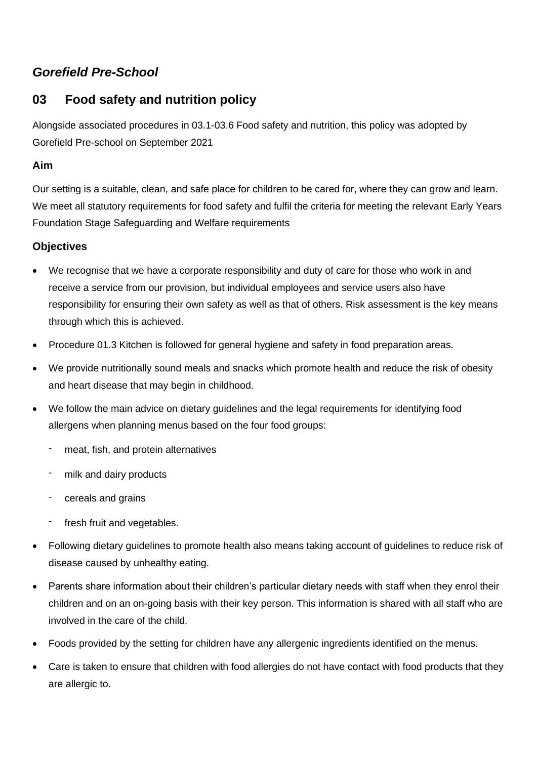# *Gorefield Pre-School*

## **03 Food safety and nutrition policy**

Alongside associated procedures in 03.1-03.6 Food safety and nutrition, this policy was adopted by Gorefield Pre-school on September 2021

#### **Aim**

Our setting is a suitable, clean, and safe place for children to be cared for, where they can grow and learn. We meet all statutory requirements for food safety and fulfil the criteria for meeting the relevant Early Years Foundation Stage Safeguarding and Welfare requirements

#### **Objectives**

- We recognise that we have a corporate responsibility and duty of care for those who work in and receive a service from our provision, but individual employees and service users also have responsibility for ensuring their own safety as well as that of others. Risk assessment is the key means through which this is achieved.
- Procedure 01.3 Kitchen is followed for general hygiene and safety in food preparation areas.
- We provide nutritionally sound meals and snacks which promote health and reduce the risk of obesity and heart disease that may begin in childhood.
- We follow the main advice on dietary guidelines and the legal requirements for identifying food allergens when planning menus based on the four food groups:
	- meat, fish, and protein alternatives
	- milk and dairy products
	- cereals and grains
	- fresh fruit and vegetables.
- Following dietary guidelines to promote health also means taking account of guidelines to reduce risk of disease caused by unhealthy eating.
- Parents share information about their children's particular dietary needs with staff when they enrol their children and on an on-going basis with their key person. This information is shared with all staff who are involved in the care of the child.
- Foods provided by the setting for children have any allergenic ingredients identified on the menus.
- Care is taken to ensure that children with food allergies do not have contact with food products that they are allergic to.